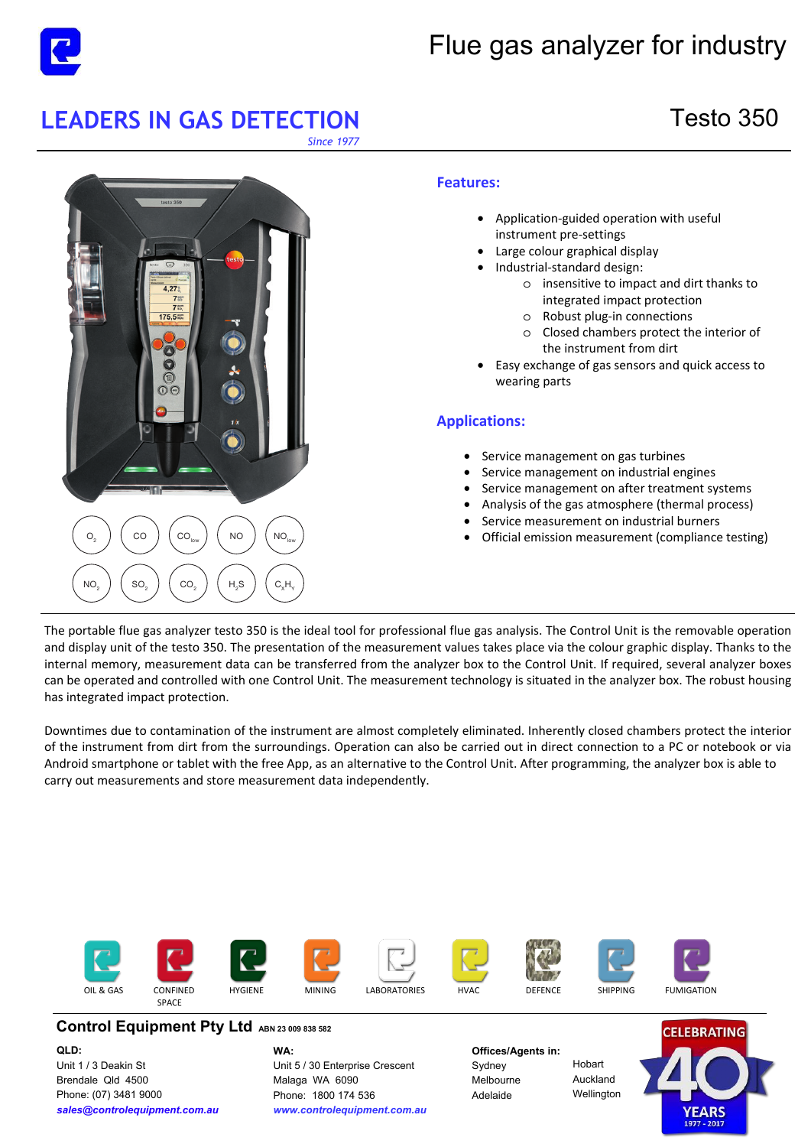

# Flue gas analyzer for industry

## **LEADERS IN GAS DETECTION** Testo 350 *Since 1977*



#### **Features:**

- Application-guided operation with useful instrument pre-settings
- Large colour graphical display
- Industrial-standard design:
	- o insensitive to impact and dirt thanks to integrated impact protection
	- o Robust plug-in connections
	- o Closed chambers protect the interior of the instrument from dirt
- Easy exchange of gas sensors and quick access to wearing parts

#### **Applications:**

- Service management on gas turbines
- Service management on industrial engines
- Service management on after treatment systems
- Analysis of the gas atmosphere (thermal process)
- Service measurement on industrial burners
- Official emission measurement (compliance testing)

The portable flue gas analyzer testo 350 is the ideal tool for professional flue gas analysis. The Control Unit is the removable operation and display unit of the testo 350. The presentation of the measurement values takes place via the colour graphic display. Thanks to the internal memory, measurement data can be transferred from the analyzer box to the Control Unit. If required, several analyzer boxes can be operated and controlled with one Control Unit. The measurement technology is situated in the analyzer box. The robust housing has integrated impact protection.

Downtimes due to contamination of the instrument are almost completely eliminated. Inherently closed chambers protect the interior of the instrument from dirt from the surroundings. Operation can also be carried out in direct connection to a PC or notebook or via Android smartphone or tablet with the free App, as an alternative to the Control Unit. After programming, the analyzer box is able to carry out measurements and store measurement data independently.



#### **Control Equipment Pty Ltd ABN 23 009 838 582**

**QLD:**  Unit 1 / 3 Deakin St Brendale Qld 4500 Phone: (07) 3481 9000 *sales@controlequipment.com.au* **WA:**  Unit 5 / 30 Enterprise Crescent Malaga WA 6090 [Phone: 1800 174 536](mailto:sales@controlequipment.com.au) *[www.controlequipment.c](http://www.controlequipment.com.au)om.au*

**Offices/Agents in:**  Sydney Melbourne Adelaide

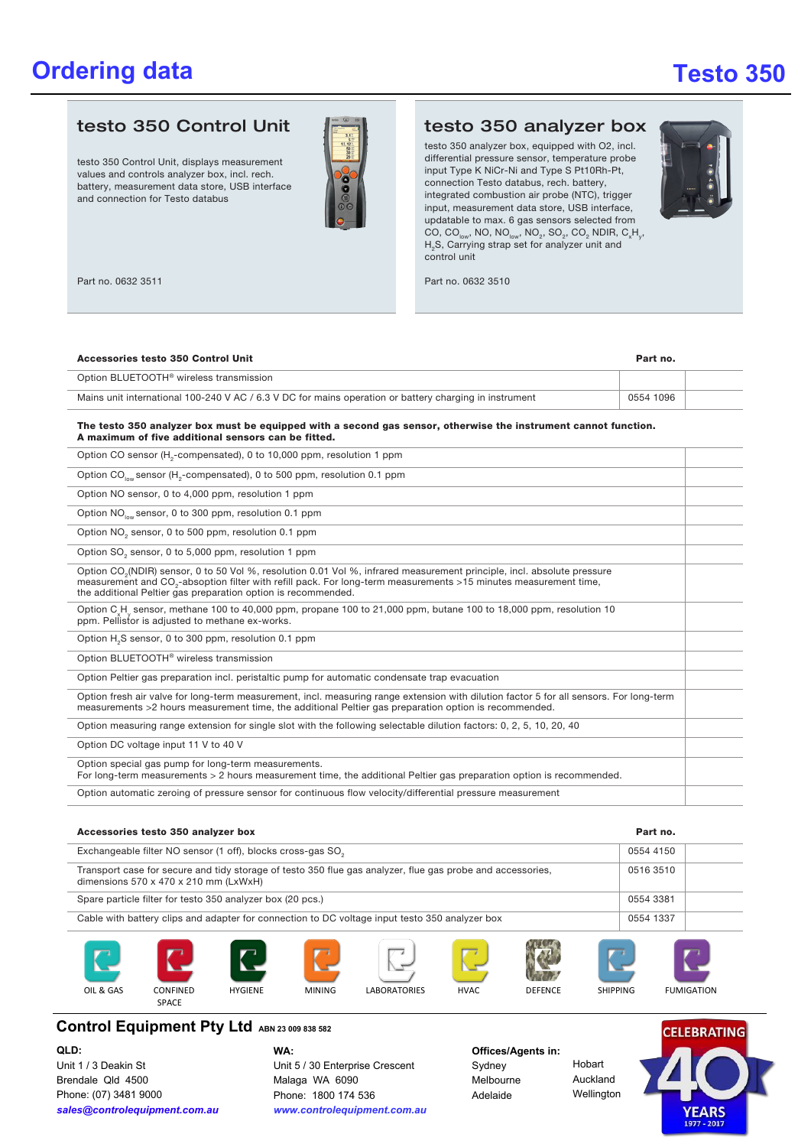# **Ordering data Testo 350**

## testo 350 Control Unit

testo 350 Control Unit, displays measurement values and controls analyzer box, incl. rech. battery, measurement data store, USB interface and connection for Testo databus



#### testo 350 analyzer box

testo 350 analyzer box, equipped with O2, incl. differential pressure sensor, temperature probe input Type K NiCr-Ni and Type S Pt10Rh-Pt, connection Testo databus, rech. battery, integrated combustion air probe (NTC), trigger input, measurement data store, USB interface, updatable to max. 6 gas sensors selected from CO, CO<sub>low</sub>, NO, NO<sub>low</sub>, NO<sub>2</sub>, SO<sub>2</sub>, CO<sub>2</sub> NDIR, C<sub>x</sub>H<sub>y</sub>, H<sub>2</sub>S, Carrying strap set for analyzer unit and control unit

Part no. 0632 3510



Part no. 0632 3511

| <b>Accessories testo 350 Control Unit</b>                                                              | Part no.  |  |
|--------------------------------------------------------------------------------------------------------|-----------|--|
| Option BLUETOOTH <sup>®</sup> wireless transmission                                                    |           |  |
| Mains unit international 100-240 V AC / 6.3 V DC for mains operation or battery charging in instrument | 0554 1096 |  |

#### The testo 350 analyzer box must be equipped with a second gas sensor, otherwise the instrument cannot function. A maximum of five additional sensors can be fitted.

| Option CO sensor (H <sub>2</sub> -compensated), 0 to 10,000 ppm, resolution 1 ppm                                                                                                                                                                                                                                                    |  |
|--------------------------------------------------------------------------------------------------------------------------------------------------------------------------------------------------------------------------------------------------------------------------------------------------------------------------------------|--|
| Option CO <sub>low</sub> sensor (H <sub>2</sub> -compensated), 0 to 500 ppm, resolution 0.1 ppm                                                                                                                                                                                                                                      |  |
| Option NO sensor, 0 to 4,000 ppm, resolution 1 ppm                                                                                                                                                                                                                                                                                   |  |
| Option NO <sub>low</sub> sensor, 0 to 300 ppm, resolution 0.1 ppm                                                                                                                                                                                                                                                                    |  |
| Option NO <sub>2</sub> sensor, 0 to 500 ppm, resolution 0.1 ppm                                                                                                                                                                                                                                                                      |  |
| Option SO <sub>2</sub> sensor, 0 to 5,000 ppm, resolution 1 ppm                                                                                                                                                                                                                                                                      |  |
| Option CO <sub>2</sub> (NDIR) sensor, 0 to 50 Vol %, resolution 0.01 Vol %, infrared measurement principle, incl. absolute pressure<br>measurement and CO <sub>3</sub> -absoption filter with refill pack. For long-term measurements >15 minutes measurement time,<br>the additional Peltier gas preparation option is recommended. |  |
| Option C <sub>v</sub> H <sub>v</sub> sensor, methane 100 to 40,000 ppm, propane 100 to 21,000 ppm, butane 100 to 18,000 ppm, resolution 10<br>ppm. Pellistor is adjusted to methane ex-works.                                                                                                                                        |  |
| Option H <sub>2</sub> S sensor, 0 to 300 ppm, resolution 0.1 ppm                                                                                                                                                                                                                                                                     |  |
| Option BLUETOOTH <sup>®</sup> wireless transmission                                                                                                                                                                                                                                                                                  |  |
| Option Peltier gas preparation incl. peristaltic pump for automatic condensate trap evacuation                                                                                                                                                                                                                                       |  |
| Option fresh air valve for long-term measurement, incl. measuring range extension with dilution factor 5 for all sensors. For long-term<br>measurements >2 hours measurement time, the additional Peltier gas preparation option is recommended.                                                                                     |  |
| Option measuring range extension for single slot with the following selectable dilution factors: 0, 2, 5, 10, 20, 40                                                                                                                                                                                                                 |  |
| Option DC voltage input 11 V to 40 V                                                                                                                                                                                                                                                                                                 |  |
| Option special gas pump for long-term measurements.<br>For long-term measurements > 2 hours measurement time, the additional Peltier gas preparation option is recommended.                                                                                                                                                          |  |
| Option automatic zeroing of pressure sensor for continuous flow velocity/differential pressure measurement                                                                                                                                                                                                                           |  |
|                                                                                                                                                                                                                                                                                                                                      |  |

#### Accessories testo 350 analyzer box Part no.

SPACE

| Exchangeable filter NO sensor (1 off), blocks cross-gas SO.                                                                                                     | 0554 4150 |
|-----------------------------------------------------------------------------------------------------------------------------------------------------------------|-----------|
| Transport case for secure and tidy storage of testo 350 flue gas analyzer, flue gas probe and accessories,<br>dimensions $570 \times 470 \times 210$ mm (LxWxH) | 0516 3510 |
| Spare particle filter for testo 350 analyzer box (20 pcs.)                                                                                                      | 0554 3381 |
| Cable with battery clips and adapter for connection to DC voltage input testo 350 analyzer box                                                                  | 0554 1337 |
|                                                                                                                                                                 |           |

OIL & GAS CONFINED HYGIENE MINING LABORATORIES HVAC DEFENCE SHIPPING FUMIGATION

## Control Equipment Pty Ltd ABN 23 009 838 582

**QLD:**  Unit 1 / 3 Deakin St Brendale Qld 4500 Phone: (07) 3481 9000 *sales@controlequipment.com.au*

**WA:**  Unit 5 / 30 Enterprise Crescent Malaga WA 6090 Phone: 1800 174 536 *www.controlequipment.com.au*

**Offices/Agents in:**  Sydney Melbourne Adelaide

**MACH** 

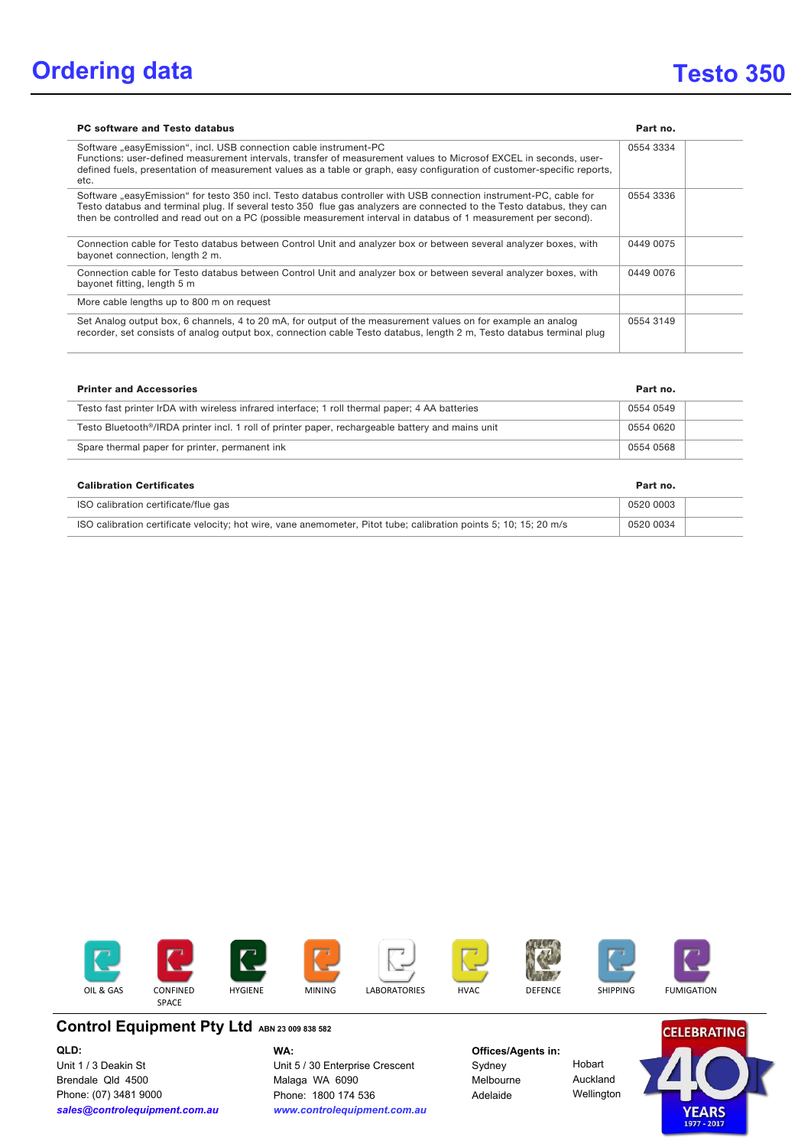| <b>PC software and Testo databus</b>                                                                                                                                                                                                                                                                                                                          | Part no.  |  |
|---------------------------------------------------------------------------------------------------------------------------------------------------------------------------------------------------------------------------------------------------------------------------------------------------------------------------------------------------------------|-----------|--|
| Software "easyEmission", incl. USB connection cable instrument-PC<br>Functions: user-defined measurement intervals, transfer of measurement values to Microsof EXCEL in seconds, user-<br>defined fuels, presentation of measurement values as a table or graph, easy configuration of customer-specific reports,<br>etc.                                     | 0554 3334 |  |
| Software "easyEmission" for testo 350 incl. Testo databus controller with USB connection instrument-PC, cable for<br>Testo databus and terminal plug. If several testo 350 flue gas analyzers are connected to the Testo databus, they can<br>then be controlled and read out on a PC (possible measurement interval in databus of 1 measurement per second). | 0554 3336 |  |
| Connection cable for Testo databus between Control Unit and analyzer box or between several analyzer boxes, with<br>bayonet connection, length 2 m.                                                                                                                                                                                                           | 0449 0075 |  |
| Connection cable for Testo databus between Control Unit and analyzer box or between several analyzer boxes, with<br>bayonet fitting, length 5 m                                                                                                                                                                                                               | 0449 0076 |  |
| More cable lengths up to 800 m on request                                                                                                                                                                                                                                                                                                                     |           |  |
| Set Analog output box, 6 channels, 4 to 20 mA, for output of the measurement values on for example an analog<br>recorder, set consists of analog output box, connection cable Testo databus, length 2 m, Testo databus terminal plug                                                                                                                          | 0554 3149 |  |

| <b>Printer and Accessories</b>                                                                                | Part no.  |  |
|---------------------------------------------------------------------------------------------------------------|-----------|--|
| Testo fast printer IrDA with wireless infrared interface; 1 roll thermal paper; 4 AA batteries                | 0554 0549 |  |
| Testo Bluetooth <sup>®</sup> /IRDA printer incl. 1 roll of printer paper, rechargeable battery and mains unit | 0554 0620 |  |
| Spare thermal paper for printer, permanent ink                                                                | 0554 0568 |  |

| <b>Calibration Certificates</b>                                                                                   | Part no.  |  |
|-------------------------------------------------------------------------------------------------------------------|-----------|--|
| ISO calibration certificate/flue gas                                                                              | 0520 0003 |  |
| ISO calibration certificate velocity; hot wire, vane anemometer, Pitot tube; calibration points 5; 10; 15; 20 m/s | 0520 0034 |  |









## **Control Equipment Pty Ltd ABN 23 009 838 582**

**QLD:**  Unit 1 / 3 Deakin St Brendale Qld 4500 Phone: (07) 3481 9000 *sales@controlequipment.com.au* **WA:**  Unit 5 / 30 Enterprise Crescent Malaga WA 6090 Phone: 1800 174 536 *www.controlequipment.com.au* **Offices/Agents in:**  Sydney **Melbourne** Adelaide

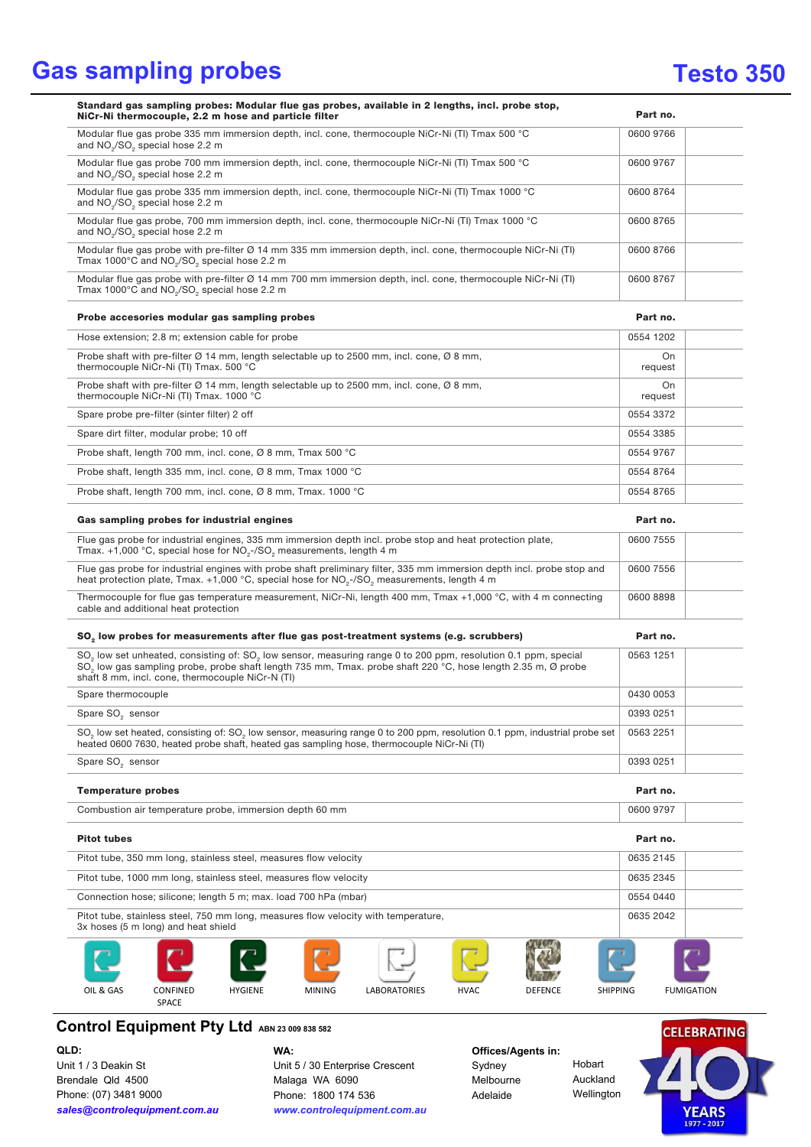# **Gas sampling probes Testo 350**

| NiCr-Ni thermocouple, 2.2 m hose and particle filter                                                                                                                                                                                                                                     | Part no.      |
|------------------------------------------------------------------------------------------------------------------------------------------------------------------------------------------------------------------------------------------------------------------------------------------|---------------|
| Modular flue gas probe 335 mm immersion depth, incl. cone, thermocouple NiCr-Ni (TI) Tmax 500 °C<br>and NO <sub>2</sub> /SO <sub>2</sub> special hose 2.2 m                                                                                                                              | 0600 9766     |
| Modular flue gas probe 700 mm immersion depth, incl. cone, thermocouple NiCr-Ni (TI) Tmax 500 °C<br>and NO <sub>2</sub> /SO <sub>2</sub> special hose 2.2 m                                                                                                                              | 0600 9767     |
| Modular flue gas probe 335 mm immersion depth, incl. cone, thermocouple NiCr-Ni (TI) Tmax 1000 °C<br>and NO <sub>2</sub> /SO <sub>2</sub> special hose 2.2 m                                                                                                                             | 0600 8764     |
| Modular flue gas probe, 700 mm immersion depth, incl. cone, thermocouple NiCr-Ni (TI) Tmax 1000 °C<br>and NO <sub>2</sub> /SO <sub>2</sub> special hose 2.2 m                                                                                                                            | 0600 8765     |
| Modular flue gas probe with pre-filter Ø 14 mm 335 mm immersion depth, incl. cone, thermocouple NiCr-Ni (TI)<br>Tmax 1000°C and NO <sub>2</sub> /SO <sub>2</sub> special hose 2.2 m                                                                                                      | 0600 8766     |
| Modular flue gas probe with pre-filter Ø 14 mm 700 mm immersion depth, incl. cone, thermocouple NiCr-Ni (TI)<br>Tmax 1000°C and NO <sub>2</sub> /SO <sub>2</sub> special hose 2.2 m                                                                                                      | 0600 8767     |
| Probe accesories modular gas sampling probes                                                                                                                                                                                                                                             | Part no.      |
| Hose extension; 2.8 m; extension cable for probe                                                                                                                                                                                                                                         | 0554 1202     |
| Probe shaft with pre-filter $\varnothing$ 14 mm, length selectable up to 2500 mm, incl. cone, $\varnothing$ 8 mm,<br>thermocouple NiCr-Ni (TI) Tmax. 500 °C                                                                                                                              | On<br>request |
| Probe shaft with pre-filter Ø 14 mm, length selectable up to 2500 mm, incl. cone, Ø 8 mm,<br>thermocouple NiCr-Ni (TI) Tmax. 1000 °C                                                                                                                                                     | On<br>request |
| Spare probe pre-filter (sinter filter) 2 off                                                                                                                                                                                                                                             | 0554 3372     |
| Spare dirt filter, modular probe; 10 off                                                                                                                                                                                                                                                 | 0554 3385     |
| Probe shaft, length 700 mm, incl. cone, Ø 8 mm, Tmax 500 °C                                                                                                                                                                                                                              | 0554 9767     |
| Probe shaft, length 335 mm, incl. cone, Ø 8 mm, Tmax 1000 °C                                                                                                                                                                                                                             | 0554 8764     |
| Probe shaft, length 700 mm, incl. cone, Ø 8 mm, Tmax. 1000 °C                                                                                                                                                                                                                            | 0554 8765     |
| Gas sampling probes for industrial engines                                                                                                                                                                                                                                               | Part no.      |
| Flue gas probe for industrial engines, 335 mm immersion depth incl. probe stop and heat protection plate,<br>Tmax. +1,000 °C, special hose for NO <sub>2</sub> -/SO <sub>2</sub> measurements, length 4 m                                                                                | 0600 7555     |
| Flue gas probe for industrial engines with probe shaft preliminary filter, 335 mm immersion depth incl. probe stop and<br>heat protection plate, Tmax. +1,000 °C, special hose for NO <sub>2</sub> -/SO <sub>2</sub> measurements, length 4 m                                            | 0600 7556     |
| Thermocouple for flue gas temperature measurement, NiCr-Ni, length 400 mm, Tmax +1,000 °C, with 4 m connecting<br>cable and additional heat protection                                                                                                                                   | 0600 8898     |
| SO, low probes for measurements after flue gas post-treatment systems (e.g. scrubbers)                                                                                                                                                                                                   | Part no.      |
| $SO_2$ low set unheated, consisting of: $SO_2$ low sensor, measuring range 0 to 200 ppm, resolution 0.1 ppm, special<br>SO, low gas sampling probe, probe shaft length 735 mm, Tmax. probe shaft 220 °C, hose length 2.35 m, Ø probe<br>shaft 8 mm, incl. cone, thermocouple NiCr-N (TI) | 0563 1251     |
| Spare thermocouple                                                                                                                                                                                                                                                                       | 0430 0053     |
| Spare SO <sub>2</sub> sensor                                                                                                                                                                                                                                                             | 0393 0251     |
| SO <sub>2</sub> low set heated, consisting of: SO <sub>2</sub> low sensor, measuring range 0 to 200 ppm, resolution 0.1 ppm, industrial probe set<br>heated 0600 7630, heated probe shaft, heated gas sampling hose, thermocouple NiCr-Ni (TI)                                           | 0563 2251     |
| Spare SO <sub>2</sub> sensor                                                                                                                                                                                                                                                             | 0393 0251     |
| <b>Temperature probes</b>                                                                                                                                                                                                                                                                | Part no.      |
| Combustion air temperature probe, immersion depth 60 mm                                                                                                                                                                                                                                  | 0600 9797     |
| <b>Pitot tubes</b>                                                                                                                                                                                                                                                                       | Part no.      |
|                                                                                                                                                                                                                                                                                          | 0635 2145     |
| Pitot tube, 350 mm long, stainless steel, measures flow velocity                                                                                                                                                                                                                         | 0635 2345     |
| Pitot tube, 1000 mm long, stainless steel, measures flow velocity                                                                                                                                                                                                                        |               |
| Connection hose; silicone; length 5 m; max. load 700 hPa (mbar)                                                                                                                                                                                                                          | 0554 0440     |
| Pitot tube, stainless steel, 750 mm long, measures flow velocity with temperature,<br>3x hoses (5 m long) and heat shield                                                                                                                                                                | 0635 2042     |
|                                                                                                                                                                                                                                                                                          |               |

### **Control Equipment Pty Ltd ABN 23 009 838 582**

**QLD:**  Unit 1 / 3 Deakin St Brendale Qld 4500 Phone: (07) 3481 9000 *sales@controlequipment.com.au* **WA:**  Unit 5 / 30 Enterprise Crescent Malaga WA 6090 Phone: 1800 174 536 *www.controlequipment.com.au* **Offices/Agents in:**  Sydney **Melbourne** Adelaide

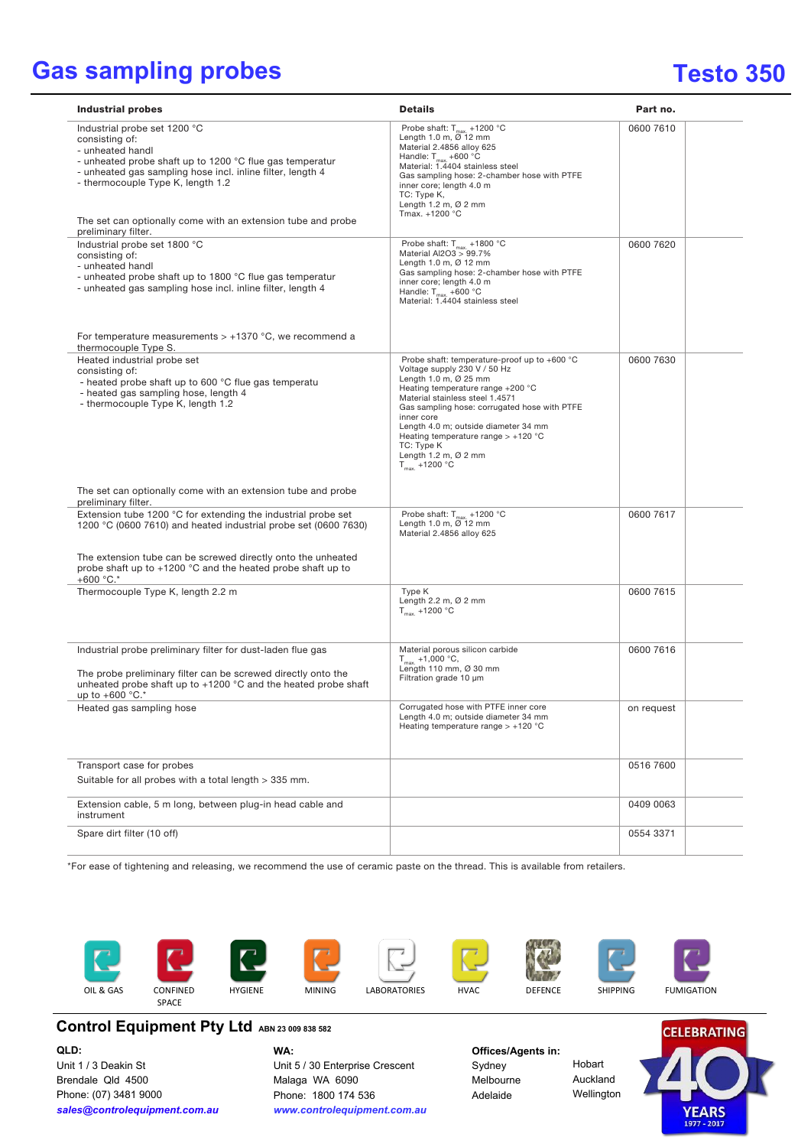# **Gas sampling probes Testo 350**

| <b>Industrial probes</b>                                                                                                                                                                                                                                          | <b>Details</b>                                                                                                                                                                                                                                                                                                                                                                                              | Part no.   |
|-------------------------------------------------------------------------------------------------------------------------------------------------------------------------------------------------------------------------------------------------------------------|-------------------------------------------------------------------------------------------------------------------------------------------------------------------------------------------------------------------------------------------------------------------------------------------------------------------------------------------------------------------------------------------------------------|------------|
| Industrial probe set 1200 °C<br>consisting of:<br>- unheated handl<br>- unheated probe shaft up to 1200 °C flue gas temperatur<br>- unheated gas sampling hose incl. inline filter, length 4<br>- thermocouple Type K, length 1.2                                 | Probe shaft: $T_{max}$ +1200 °C<br>Length 1.0 m, Ø 12 mm<br>Material 2.4856 alloy 625<br>Handle: $T_{\text{max}}$ +600 °C<br>Material: 1.4404 stainless steel<br>Gas sampling hose: 2-chamber hose with PTFE<br>inner core; length 4.0 m<br>TC: Type K,<br>Length 1.2 m, $Ø$ 2 mm<br>Tmax. +1200 °C                                                                                                         | 0600 7610  |
| The set can optionally come with an extension tube and probe<br>preliminary filter.                                                                                                                                                                               |                                                                                                                                                                                                                                                                                                                                                                                                             |            |
| Industrial probe set 1800 °C<br>consisting of:<br>- unheated handl<br>- unheated probe shaft up to 1800 °C flue gas temperatur<br>- unheated gas sampling hose incl. inline filter, length 4                                                                      | Probe shaft: $T_{max}$ +1800 °C<br>Material Al2O3 > 99.7%<br>Length 1.0 m, Ø 12 mm<br>Gas sampling hose: 2-chamber hose with PTFE<br>inner core; length 4.0 m<br>Handle: $T_{max.}$ +600 °C<br>Material: 1.4404 stainless steel                                                                                                                                                                             | 0600 7620  |
| For temperature measurements $> +1370$ °C, we recommend a<br>thermocouple Type S.                                                                                                                                                                                 |                                                                                                                                                                                                                                                                                                                                                                                                             |            |
| Heated industrial probe set<br>consisting of:<br>- heated probe shaft up to 600 °C flue gas temperatu<br>- heated gas sampling hose, length 4<br>- thermocouple Type K, length 1.2                                                                                | Probe shaft: temperature-proof up to +600 °C<br>Voltage supply 230 V / 50 Hz<br>Length 1.0 m, Ø 25 mm<br>Heating temperature range +200 °C<br>Material stainless steel 1.4571<br>Gas sampling hose: corrugated hose with PTFE<br>inner core<br>Length 4.0 m; outside diameter 34 mm<br>Heating temperature range $> +120$ °C<br>TC: Type K<br>Length 1.2 m, $\varnothing$ 2 mm<br>$T_{\text{max}}$ +1200 °C | 0600 7630  |
| The set can optionally come with an extension tube and probe<br>preliminary filter.                                                                                                                                                                               |                                                                                                                                                                                                                                                                                                                                                                                                             |            |
| Extension tube 1200 °C for extending the industrial probe set<br>1200 °C (0600 7610) and heated industrial probe set (0600 7630)<br>The extension tube can be screwed directly onto the unheated<br>probe shaft up to $+1200$ °C and the heated probe shaft up to | Probe shaft: $T_{max}$ +1200 °C<br>Length 1.0 m, Ø 12 mm<br>Material 2.4856 alloy 625                                                                                                                                                                                                                                                                                                                       | 0600 7617  |
| +600 $^{\circ}$ C.*<br>Thermocouple Type K, length 2.2 m                                                                                                                                                                                                          | Type K                                                                                                                                                                                                                                                                                                                                                                                                      | 0600 7615  |
|                                                                                                                                                                                                                                                                   | Length $2.2$ m, $Ø$ 2 mm<br>$T_{max}$ +1200 °C                                                                                                                                                                                                                                                                                                                                                              |            |
| Industrial probe preliminary filter for dust-laden flue gas<br>The probe preliminary filter can be screwed directly onto the<br>unheated probe shaft up to $+1200$ °C and the heated probe shaft<br>up to $+600$ °C.*                                             | Material porous silicon carbide<br>$T_{\text{max.}}$ +1,000 °C,<br>Length 110 mm, Ø 30 mm<br>Filtration grade 10 µm                                                                                                                                                                                                                                                                                         | 0600 7616  |
| Heated gas sampling hose                                                                                                                                                                                                                                          | Corrugated hose with PTFE inner core<br>Length 4.0 m; outside diameter 34 mm<br>Heating temperature range $> +120$ °C                                                                                                                                                                                                                                                                                       | on request |
| Transport case for probes<br>Suitable for all probes with a total length > 335 mm.                                                                                                                                                                                |                                                                                                                                                                                                                                                                                                                                                                                                             | 0516 7600  |
| Extension cable, 5 m long, between plug-in head cable and<br>instrument                                                                                                                                                                                           |                                                                                                                                                                                                                                                                                                                                                                                                             | 0409 0063  |
| Spare dirt filter (10 off)                                                                                                                                                                                                                                        |                                                                                                                                                                                                                                                                                                                                                                                                             | 0554 3371  |

\*For ease of tightening and releasing, we recommend the use of ceramic paste on the thread. This is available from retailers.



#### **Control Equipment Pty Ltd ABN 23 009 838 582**

**QLD:**  Unit 1 / 3 Deakin St Brendale Qld 4500 Phone: (07) 3481 9000 *sales@controlequipment.com.au* **WA:**  Unit 5 / 30 Enterprise Crescent Malaga WA 6090 Phone: 1800 174 536 *www.controlequipment.com.au* **Offices/Agents in:**  Sydney **Melbourne** Adelaide

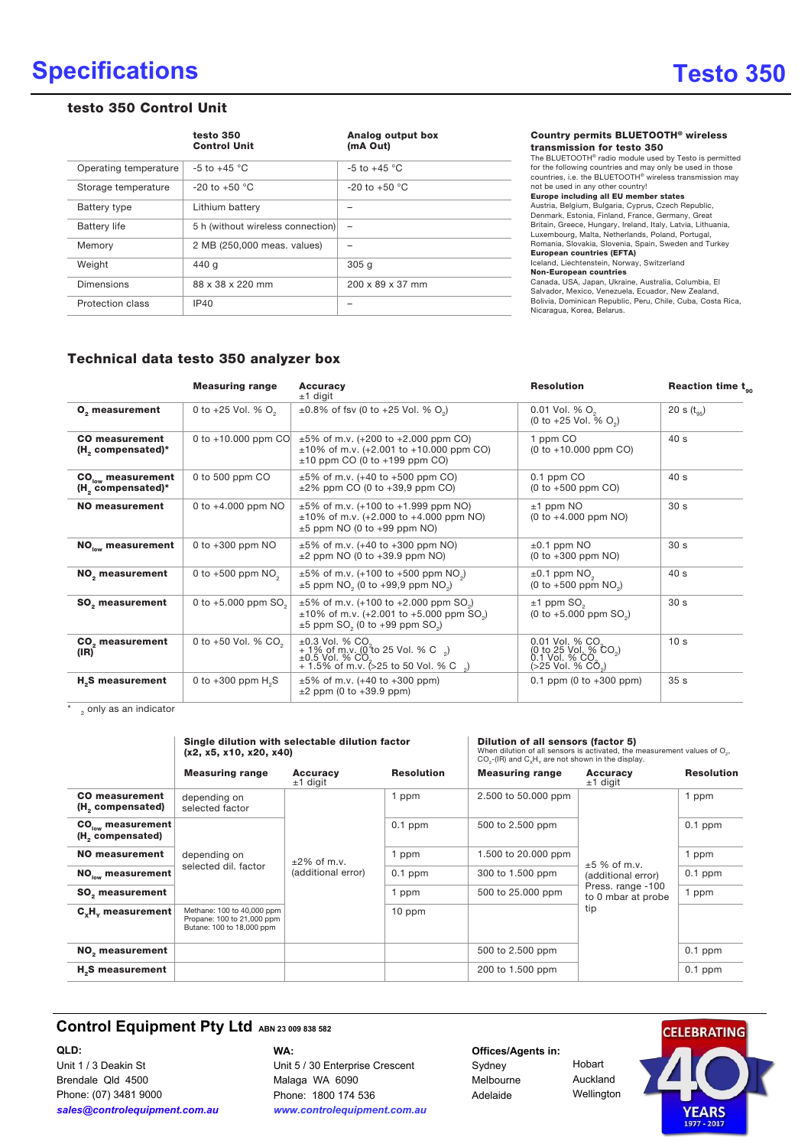# **Specifications Testo 350**

#### testo 350 Control Unit

|                       | testo 350<br><b>Control Unit</b>  | Analog output box<br>(mA Out) | <b>Country permits BL</b><br>transmission for te<br>The BLUETOOTH <sup>®</sup> radio m |
|-----------------------|-----------------------------------|-------------------------------|----------------------------------------------------------------------------------------|
| Operating temperature | $-5$ to $+45$ °C                  | $-5$ to $+45$ °C              | for the following countries<br>countries, i.e. the BLUETO                              |
| Storage temperature   | $-20$ to $+50$ °C                 | $-20$ to $+50$ °C             | not be used in any other co<br>Europe including all EU                                 |
| Battery type          | Lithium battery                   |                               | Austria, Belgium, Bulgaria,<br>Denmark, Estonia, Finland,                              |
| <b>Battery life</b>   | 5 h (without wireless connection) |                               | Britain, Greece, Hungary, Ir<br>Luxembourg, Malta, Nether                              |
| Memory                | 2 MB (250,000 meas. values)       |                               | Romania, Slovakia, Sloveni<br><b>European countries (EF)</b>                           |
| Weight                | 440 g                             | 305q                          | Iceland, Liechtenstein, Nor<br><b>Non-European countries</b>                           |
| <b>Dimensions</b>     | 88 x 38 x 220 mm                  | 200 x 89 x 37 mm              | Canada, USA, Japan, Ukra<br>Salvador, Mexico, Venezue                                  |
| Protection class      | IP40                              |                               | Bolivia, Dominican Republi<br>Nicaragua, Korea, Belarus.                               |

## .<br>Country permits BLUETOOTH® wireless

transmission for testo 350 The BLUETOOTH® radio module used by Testo is permitted for the following countries and may only be used in those countries, i.e. the BLUETOOTH® wireless transmission may of be used in any other country! urope including all EU member states Austria, Belgium, Bulgaria, Cyprus, Czech Republic, Denmark, Estonia, Finland, France, Germany, Great Britain, Greece, Hungary, Ireland, Italy, Latvia, Lithuania, Luxembourg, Malta, Netherlands, Poland, Portugal, Romania, Slovakia, Slovenia, Spain, Sweden and Turkey European countries (EFTA) Iceland, Liechtenstein, Norway, Switzerland<br>Non-European countries Canada, USA, Japan, Ukraine, Australia, Columbia, El Salvador, Mexico, Venezuela, Ecuador, New Zealand, olivia, Dominican Republic, Peru, Chile, Cuba, Costa Rica,

#### Technical data testo 350 analyzer box

|                                                        | <b>Measuring range</b>            | <b>Accuracy</b><br>$±1$ digit                                                                                                                                          | <b>Resolution</b>                                                                                       | Reaction time $t_{\alpha}$ |
|--------------------------------------------------------|-----------------------------------|------------------------------------------------------------------------------------------------------------------------------------------------------------------------|---------------------------------------------------------------------------------------------------------|----------------------------|
| O <sub>2</sub> measurement                             | 0 to +25 Vol. % $O_2$             | $\pm 0.8\%$ of fsv (0 to +25 Vol. % O <sub>2</sub> )                                                                                                                   | 0.01 Vol. % $O_2$<br>(0 to +25 Vol. % O <sub>o</sub> )                                                  | 20 s $(t_{0.5})$           |
| <b>CO</b> measurement<br>(H <sub>2</sub> compensated)* | 0 to $+10.000$ ppm CO             | $\pm 5\%$ of m.v. (+200 to +2.000 ppm CO)<br>$\pm 10\%$ of m.v. (+2.001 to +10.000 ppm CO)<br>$\pm$ 10 ppm CO (0 to +199 ppm CO)                                       | 1 ppm CO<br>$(0 to +10.000 ppm CO)$                                                                     | 40 s                       |
| $CO_{\text{low}}$ measurement<br>(H, compensated)*     | 0 to 500 ppm $CO$                 | $\pm 5\%$ of m.v. (+40 to +500 ppm CO)<br>$\pm 2\%$ ppm CO (0 to $+39.9$ ppm CO)                                                                                       | $0.1$ ppm $CO$<br>$(0 to +500 ppm CO)$                                                                  | 40 s                       |
| <b>NO measurement</b>                                  | 0 to $+4.000$ ppm NO              | $\pm 5\%$ of m.v. (+100 to +1.999 ppm NO)<br>$\pm 10\%$ of m.v. (+2.000 to +4.000 ppm NO)<br>$\pm 5$ ppm NO (0 to $+99$ ppm NO)                                        | $±1$ ppm NO<br>$(0 to +4.000 ppm NO)$                                                                   | 30 <sub>s</sub>            |
| NO <sub>low</sub> measurement                          | 0 to $+300$ ppm NO                | $\pm 5\%$ of m.v. (+40 to +300 ppm NO)<br>$\pm 2$ ppm NO (0 to $+39.9$ ppm NO)                                                                                         | $\pm 0.1$ ppm NO<br>$(0 to +300$ ppm NO)                                                                | 30 <sub>s</sub>            |
| NO <sub>2</sub> measurement                            | 0 to $+500$ ppm NO <sub>2</sub>   | $\pm 5\%$ of m.v. (+100 to +500 ppm NO <sub>2</sub> )<br>$\pm 5$ ppm NO <sub>2</sub> (0 to +99,9 ppm NO <sub>2</sub> )                                                 | $\pm 0.1$ ppm NO <sub>2</sub><br>$(0 to +500$ ppm NO <sub>2</sub> )                                     | 40 s                       |
| <b>SO</b> <sub>c</sub> measurement                     | 0 to $+5.000$ ppm SO <sub>2</sub> | $\pm 5\%$ of m.v. (+100 to +2.000 ppm SO <sub>2</sub> )<br>$\pm 10\%$ of m.v. (+2.001 to +5.000 ppm SO)<br>$\pm 5$ ppm SO <sub>2</sub> (0 to +99 ppm SO <sub>2</sub> ) | $±1$ ppm SO <sub>2</sub><br>$(0 to +5.000$ ppm $SOn$ )                                                  | 30 <sub>s</sub>            |
| CO <sub>2</sub> measurement<br>$(\mathsf{IR})$         | 0 to +50 Vol. % CO <sub>2</sub>   | $\pm 0.3$ Vol. % CO.<br>+ 1% of m.v. (0 to 25 Vol. % C $_2$ )<br>±0.5 Vol. % CO <sub>2</sub><br>+ 1.5% of m.v. (>25 to 50 Vol. % C $_{2}$ )                            | 0.01 Vol. % CO.<br>(0 to 25 Vol. % CO <sub>2</sub> )<br>0.1 Vol. % CO.<br>(>25 Vol. % CO <sub>2</sub> ) | 10 <sub>s</sub>            |
| H <sub>2</sub> S measurement                           | 0 to $+300$ ppm $H_5S$            | $\pm 5\%$ of m.v. (+40 to +300 ppm)<br>$\pm 2$ ppm (0 to $+39.9$ ppm)                                                                                                  | $0.1$ ppm (0 to $+300$ ppm)                                                                             | 35 <sub>s</sub>            |

 $\overline{\cdot}$   $\overline{\cdot}$  only as an indicator

|                                                               | Single dilution with selectable dilution factor<br>(x2, x5, x10, x20, x40)            |                               | Dilution of all sensors (factor 5)<br>When dilution of all sensors is activated, the measurement values of O <sub>2</sub> ,<br>CO <sub>2</sub> -(IR) and C <sub>y</sub> H <sub>y</sub> are not shown in the display. |                        |                                         |                   |
|---------------------------------------------------------------|---------------------------------------------------------------------------------------|-------------------------------|----------------------------------------------------------------------------------------------------------------------------------------------------------------------------------------------------------------------|------------------------|-----------------------------------------|-------------------|
|                                                               | <b>Measuring range</b>                                                                | <b>Accuracy</b><br>$±1$ digit | <b>Resolution</b>                                                                                                                                                                                                    | <b>Measuring range</b> | <b>Accuracy</b><br>$±1$ digit           | <b>Resolution</b> |
| <b>CO</b> measurement<br>(H, compensated)                     | depending on<br>selected factor                                                       |                               | 1 ppm                                                                                                                                                                                                                | 2.500 to 50.000 ppm    |                                         | 1 ppm             |
| CO $_{\tiny\textsf{low}}$ measurement $ $<br>(H, compensated) |                                                                                       |                               | $0.1$ ppm                                                                                                                                                                                                            | 500 to 2.500 ppm       |                                         | $0.1$ ppm         |
| <b>NO measurement</b>                                         | depending on<br>selected dil. factor                                                  | $±2\%$ of m.v.                | 1 ppm                                                                                                                                                                                                                | 1.500 to 20.000 ppm    | $±5$ % of m.v.                          | 1 ppm             |
| NO <sub>low</sub> measurement                                 |                                                                                       | (additional error)            | $0.1$ ppm                                                                                                                                                                                                            | 300 to 1.500 ppm       | (additional error)                      | $0.1$ ppm         |
| SO, measurement                                               |                                                                                       |                               | 1 ppm                                                                                                                                                                                                                | 500 to 25,000 ppm      | Press. range -100<br>to 0 mbar at probe | 1 ppm             |
| C <sub>∿</sub> H <sub>∿</sub> measurement ∣                   | Methane: 100 to 40,000 ppm<br>Propane: 100 to 21,000 ppm<br>Butane: 100 to 18,000 ppm |                               | 10 ppm                                                                                                                                                                                                               |                        | tip                                     |                   |
| NO, measurement                                               |                                                                                       |                               |                                                                                                                                                                                                                      | 500 to 2.500 ppm       |                                         | $0.1$ ppm         |
| <b>H</b> ,S measurement                                       |                                                                                       |                               |                                                                                                                                                                                                                      | 200 to 1.500 ppm       |                                         | $0.1$ ppm         |

#### **Control Equipment Pty Ltd ABN 23 009 838 582**

**QLD:**  Unit 1 / 3 Deakin St Brendale Qld 4500 Phone: (07) 3481 9000 *sales@controlequipment.com.au* **WA:**  Unit 5 / 30 Enterprise Crescent Malaga WA 6090

Phone: 1800 174 536

*www.controlequipment.com.au*

**Offices/Agents in:**  Sydney

Melbourne Adelaide

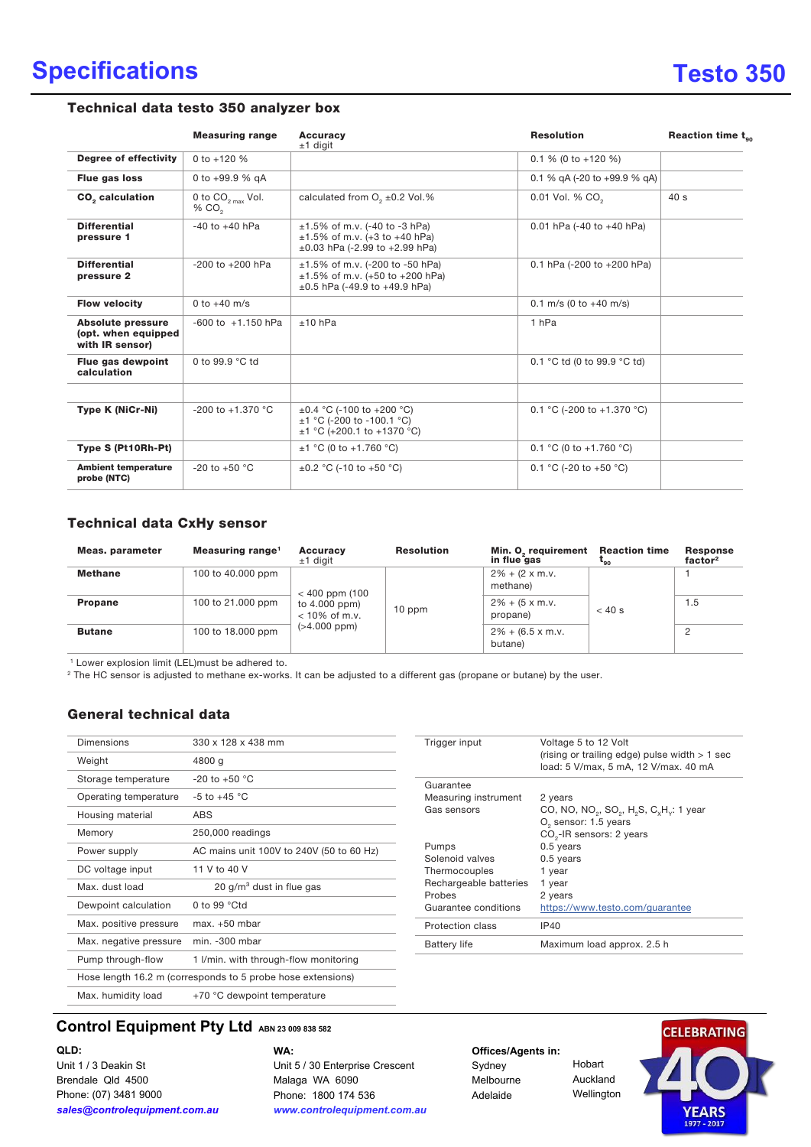# **Specifications Testo 350**

#### Technical data testo 350 analyzer box

|                                                                    | <b>Measuring range</b>                   | <b>Accuracy</b><br>$±1$ digit                                                                                        | <b>Resolution</b>                            | Reaction time $t_{gc}$ |
|--------------------------------------------------------------------|------------------------------------------|----------------------------------------------------------------------------------------------------------------------|----------------------------------------------|------------------------|
| Degree of effectivity                                              | 0 to $+120%$                             |                                                                                                                      | $0.1\%$ (0 to +120 %)                        |                        |
| Flue gas loss                                                      | 0 to $+99.9$ % gA                        |                                                                                                                      | 0.1 % gA (-20 to +99.9 % gA)                 |                        |
| <b>CO<sub>2</sub></b> calculation                                  | 0 to $CO_{2\text{ max}}$ Vol.<br>% $CO2$ | calculated from $O2 \pm 0.2$ Vol.%                                                                                   | 0.01 Vol. % CO <sub>2</sub>                  | 40 s                   |
| <b>Differential</b><br>pressure 1                                  | $-40$ to $+40$ hPa                       | $\pm 1.5\%$ of m.v. (-40 to -3 hPa)<br>$\pm 1.5\%$ of m.v. (+3 to +40 hPa)<br>$\pm 0.03$ hPa (-2.99 to +2.99 hPa)    | 0.01 hPa $(-40 \text{ to } +40 \text{ hPa})$ |                        |
| <b>Differential</b><br>pressure 2                                  | $-200$ to $+200$ hPa                     | $\pm 1.5\%$ of m.v. (-200 to -50 hPa)<br>$\pm 1.5\%$ of m.v. (+50 to +200 hPa)<br>$\pm 0.5$ hPa (-49.9 to +49.9 hPa) | 0.1 hPa (-200 to +200 hPa)                   |                        |
| <b>Flow velocity</b>                                               | 0 to $+40$ m/s                           |                                                                                                                      | $0.1$ m/s (0 to $+40$ m/s)                   |                        |
| <b>Absolute pressure</b><br>(opt. when equipped<br>with IR sensor) | $-600$ to $+1.150$ hPa                   | $±10$ hPa                                                                                                            | 1 <sub>hPa</sub>                             |                        |
| Flue gas dewpoint<br>calculation                                   | 0 to 99.9 °C td                          |                                                                                                                      | 0.1 °C td (0 to 99.9 °C td)                  |                        |
| <b>Type K (NiCr-Ni)</b>                                            | $-200$ to $+1.370$ °C                    | $\pm 0.4$ °C (-100 to +200 °C)<br>$\pm$ 1 °C (-200 to -100.1 °C)<br>$\pm$ 1 °C (+200.1 to +1370 °C)                  | 0.1 °C (-200 to +1.370 °C)                   |                        |
| Type S (Pt10Rh-Pt)                                                 |                                          | $\pm$ 1 °C (0 to +1.760 °C)                                                                                          | 0.1 °C (0 to +1.760 °C)                      |                        |
| <b>Ambient temperature</b><br>probe (NTC)                          | $-20$ to $+50$ °C                        | $\pm 0.2$ °C (-10 to +50 °C)                                                                                         | 0.1 °C (-20 to +50 °C)                       |                        |

#### Technical data CxHy sensor

| Meas. parameter | Measuring range <sup>1</sup> | <b>Accuracy</b><br>$±1$ digit                                          | <b>Resolution</b> | Min. O <sub>s</sub> requirement<br>in flue gas | <b>Reaction time</b><br>-90 | Response<br>factor <sup>2</sup> |
|-----------------|------------------------------|------------------------------------------------------------------------|-------------------|------------------------------------------------|-----------------------------|---------------------------------|
| <b>Methane</b>  | 100 to 40,000 ppm            | $< 400$ ppm (100<br>to 4.000 ppm)<br>$<$ 10% of m.v.<br>$(>4.000$ ppm) | 10 ppm            | $2\% + (2 \times m.v.$<br>methane)             | $< 40$ s                    |                                 |
| <b>Propane</b>  | 100 to 21.000 ppm            |                                                                        |                   | $2\% + (5 \times m.v.$<br>propane)             |                             | 1.5                             |
| <b>Butane</b>   | 100 to 18,000 ppm            |                                                                        |                   | $2\% + (6.5 \times m.v.$<br>butane)            |                             |                                 |

1 Lower explosion limit (LEL)must be adhered to.

2 The HC sensor is adjusted to methane ex-works. It can be adjusted to a different gas (propane or butane) by the user.

#### General technical data

| Dimensions             | 330 x 128 x 438 mm                                          |
|------------------------|-------------------------------------------------------------|
| Weight                 | 4800 g                                                      |
| Storage temperature    | $-20$ to $+50$ °C                                           |
| Operating temperature  | $-5$ to $+45$ °C                                            |
| Housing material       | ABS                                                         |
| Memory                 | 250,000 readings                                            |
| Power supply           | AC mains unit 100V to 240V (50 to 60 Hz)                    |
| DC voltage input       | 11 V to 40 V                                                |
| Max. dust load         | 20 $q/m3$ dust in flue gas                                  |
| Dewpoint calculation   | 0 to 99 $\degree$ Ctd                                       |
| Max. positive pressure | $max. +50$ mbar                                             |
| Max. negative pressure | min. -300 mbar                                              |
| Pump through-flow      | 1 I/min. with through-flow monitoring                       |
|                        | Hose length 16.2 m (corresponds to 5 probe hose extensions) |
| Max. humidity load     | +70 °C dewpoint temperature                                 |
|                        |                                                             |

| Trigger input          | Voltage 5 to 12 Volt<br>(rising or trailing edge) pulse width $> 1$ sec<br>load: 5 V/max, 5 mA, 12 V/max. 40 mA |
|------------------------|-----------------------------------------------------------------------------------------------------------------|
| Guarantee              |                                                                                                                 |
| Measuring instrument   | 2 years                                                                                                         |
| Gas sensors            | CO, NO, NO <sub>2</sub> , SO <sub>2</sub> , H <sub>2</sub> S, C <sub>x</sub> H <sub>v</sub> : 1 year            |
|                        | O <sub>2</sub> sensor: 1.5 years                                                                                |
|                        | CO <sub>2</sub> -IR sensors: 2 years                                                                            |
| Pumps                  | $0.5$ years                                                                                                     |
| Solenoid valves        | $0.5$ years                                                                                                     |
| Thermocouples          | 1 year                                                                                                          |
| Rechargeable batteries | 1 year                                                                                                          |
| Probes                 | 2 years                                                                                                         |
| Guarantee conditions   | https://www.testo.com/quarantee                                                                                 |
| Protection class       | IP40                                                                                                            |
| <b>Battery life</b>    | Maximum load approx. 2.5 h                                                                                      |
|                        |                                                                                                                 |

#### **Control Equipment Pty Ltd ABN 23 009 838 582**

**QLD:**  Unit 1 / 3 Deakin St Brendale Qld 4500 Phone: (07) 3481 9000 *sales@controlequipment.com.au*

**WA:**  Unit 5 / 30 Enterprise Crescent Malaga WA 6090 Phone: 1800 174 536 *www.controlequipment.com.au*

#### **Offices/Agents in:**  Sydney

Melbourne Adelaide